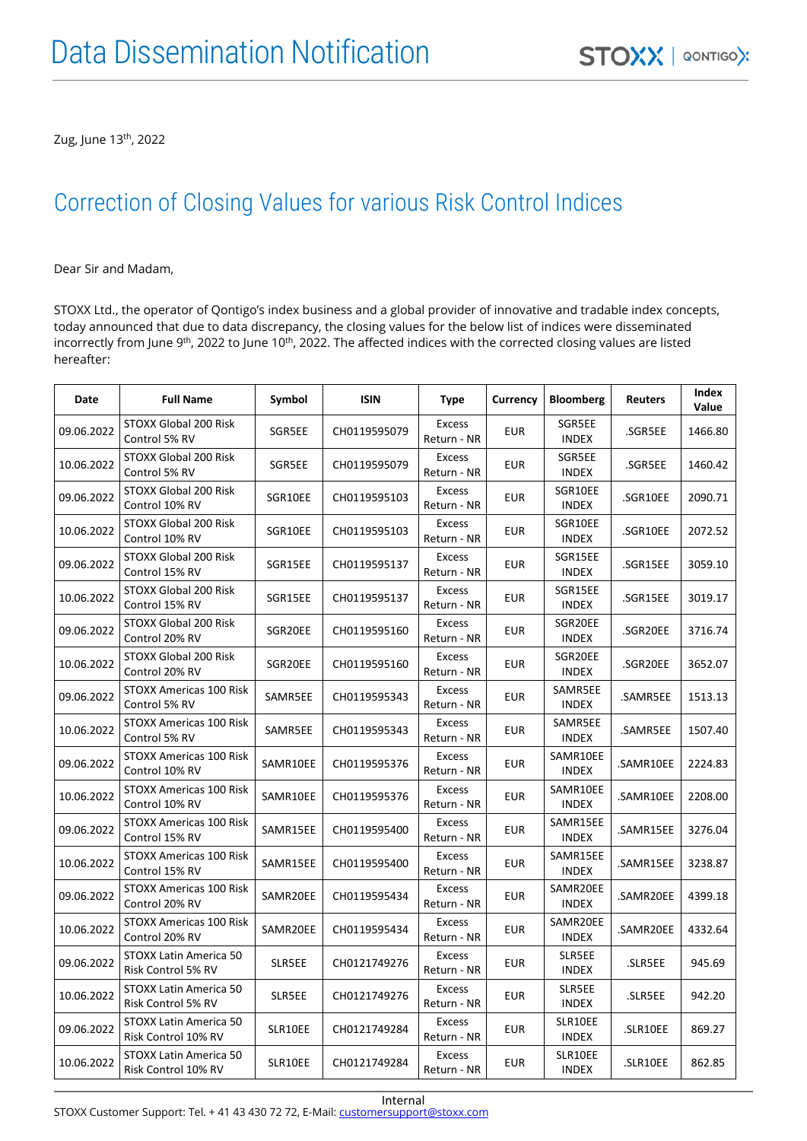Zug, June 13<sup>th</sup>, 2022

#### Correction of Closing Values for various Risk Control Indices

Dear Sir and Madam,

STOXX Ltd., the operator of Qontigo's index business and a global provider of innovative and tradable index concepts, today announced that due to data discrepancy, the closing values for the below list of indices were disseminated incorrectly from June 9<sup>th</sup>, 2022 to June 10<sup>th</sup>, 2022. The affected indices with the corrected closing values are listed hereafter:

| Date       | <b>Full Name</b>                                 | Symbol   | <b>ISIN</b>  | <b>Type</b>                  | Currency   | <b>Bloomberg</b>         | <b>Reuters</b> | Index<br>Value |
|------------|--------------------------------------------------|----------|--------------|------------------------------|------------|--------------------------|----------------|----------------|
| 09.06.2022 | <b>STOXX Global 200 Risk</b><br>Control 5% RV    | SGR5EE   | CH0119595079 | <b>Excess</b><br>Return - NR | <b>EUR</b> | SGR5EE<br>INDEX          | .SGR5EE        | 1466.80        |
| 10.06.2022 | STOXX Global 200 Risk<br>Control 5% RV           | SGR5EE   | CH0119595079 | <b>Excess</b><br>Return - NR | <b>EUR</b> | SGR5EE<br>INDEX          | .SGR5EE        | 1460.42        |
| 09.06.2022 | STOXX Global 200 Risk<br>Control 10% RV          | SGR10EE  | CH0119595103 | <b>Excess</b><br>Return - NR | EUR        | SGR10EE<br>INDEX         | .SGR10EE       | 2090.71        |
| 10.06.2022 | STOXX Global 200 Risk<br>Control 10% RV          | SGR10EE  | CH0119595103 | Excess<br>Return - NR        | <b>EUR</b> | SGR10EE<br>INDEX         | .SGR10EE       | 2072.52        |
| 09.06.2022 | STOXX Global 200 Risk<br>Control 15% RV          | SGR15EE  | CH0119595137 | Excess<br>Return - NR        | <b>EUR</b> | SGR15EE<br><b>INDEX</b>  | .SGR15EE       | 3059.10        |
| 10.06.2022 | STOXX Global 200 Risk<br>Control 15% RV          | SGR15EE  | CH0119595137 | Excess<br>Return - NR        | EUR        | SGR15EE<br>INDEX         | .SGR15EE       | 3019.17        |
| 09.06.2022 | STOXX Global 200 Risk<br>Control 20% RV          | SGR20EE  | CH0119595160 | <b>Excess</b><br>Return - NR | EUR        | SGR20EE<br><b>INDEX</b>  | .SGR20EE       | 3716.74        |
| 10.06.2022 | STOXX Global 200 Risk<br>Control 20% RV          | SGR20EE  | CH0119595160 | <b>Excess</b><br>Return - NR | EUR        | SGR20EE<br><b>INDEX</b>  | .SGR20EE       | 3652.07        |
| 09.06.2022 | STOXX Americas 100 Risk<br>Control 5% RV         | SAMR5EE  | CH0119595343 | Excess<br>Return - NR        | EUR        | SAMR5EE<br>INDEX         | .SAMR5EE       | 1513.13        |
| 10.06.2022 | <b>STOXX Americas 100 Risk</b><br>Control 5% RV  | SAMR5EE  | CH0119595343 | Excess<br>Return - NR        | EUR        | SAMR5EE<br>INDEX         | .SAMR5EE       | 1507.40        |
| 09.06.2022 | STOXX Americas 100 Risk<br>Control 10% RV        | SAMR10EE | CH0119595376 | Excess<br>Return - NR        | <b>EUR</b> | SAMR10EE<br><b>INDEX</b> | .SAMR10EE      | 2224.83        |
| 10.06.2022 | <b>STOXX Americas 100 Risk</b><br>Control 10% RV | SAMR10EE | CH0119595376 | Excess<br>Return - NR        | EUR        | SAMR10EE<br>INDEX        | .SAMR10EE      | 2208.00        |
| 09.06.2022 | STOXX Americas 100 Risk<br>Control 15% RV        | SAMR15EE | CH0119595400 | <b>Excess</b><br>Return - NR | EUR        | SAMR15EE<br>INDEX        | .SAMR15EE      | 3276.04        |
| 10.06.2022 | STOXX Americas 100 Risk<br>Control 15% RV        | SAMR15EE | CH0119595400 | <b>Excess</b><br>Return - NR | <b>EUR</b> | SAMR15EE<br><b>INDEX</b> | .SAMR15EE      | 3238.87        |
| 09.06.2022 | STOXX Americas 100 Risk<br>Control 20% RV        | SAMR20EE | CH0119595434 | <b>Excess</b><br>Return - NR | EUR        | SAMR20EE<br>INDEX        | .SAMR20EE      | 4399.18        |
| 10.06.2022 | STOXX Americas 100 Risk<br>Control 20% RV        | SAMR20EE | CH0119595434 | Excess<br>Return - NR        | <b>EUR</b> | SAMR20EE<br>INDEX        | .SAMR20EE      | 4332.64        |
| 09.06.2022 | STOXX Latin America 50<br>Risk Control 5% RV     | SLR5EE   | CH0121749276 | Excess<br>Return - NR        | <b>EUR</b> | SLR5EE<br><b>INDEX</b>   | .SLR5EE        | 945.69         |
| 10.06.2022 | STOXX Latin America 50<br>Risk Control 5% RV     | SLR5EE   | CH0121749276 | <b>Excess</b><br>Return - NR | EUR        | SLR5EE<br><b>INDEX</b>   | .SLR5EE        | 942.20         |
| 09.06.2022 | STOXX Latin America 50<br>Risk Control 10% RV    | SLR10EE  | CH0121749284 | Excess<br>Return - NR        | <b>EUR</b> | SLR10EE<br>INDEX         | .SLR10EE       | 869.27         |
| 10.06.2022 | STOXX Latin America 50<br>Risk Control 10% RV    | SLR10EE  | CH0121749284 | <b>Excess</b><br>Return - NR | <b>EUR</b> | SLR10EE<br><b>INDEX</b>  | .SLR10EE       | 862.85         |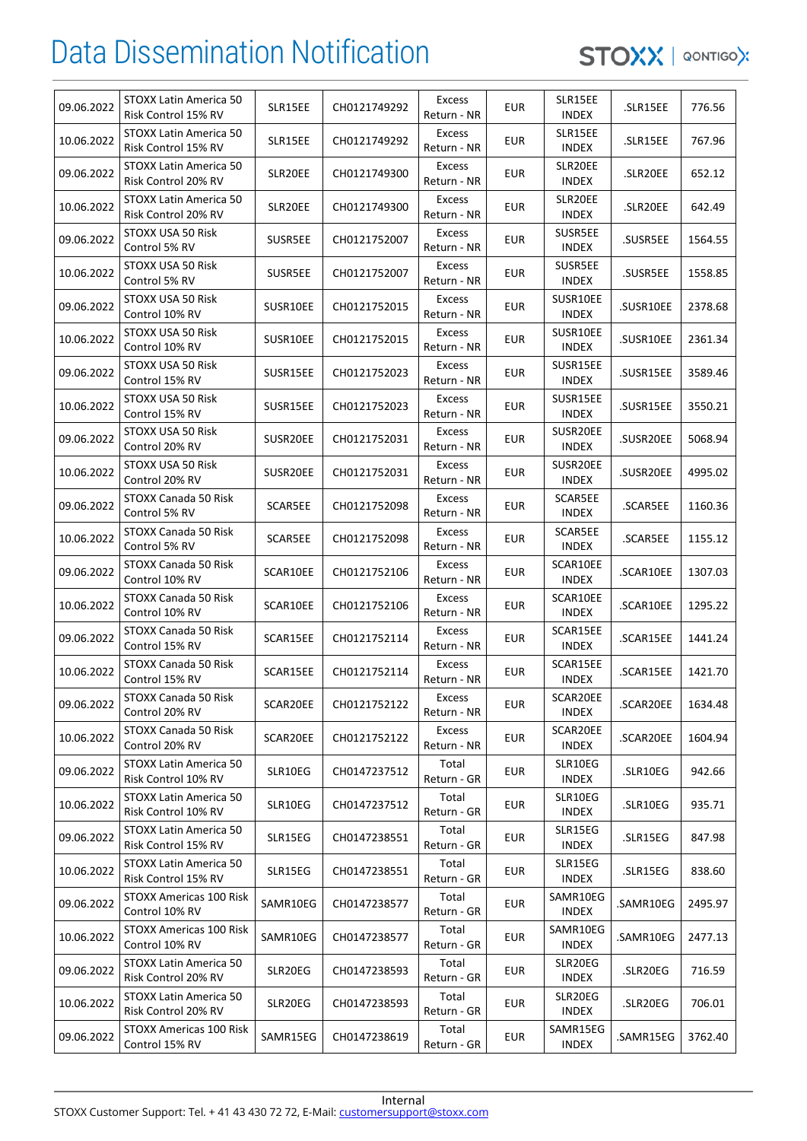| 09.06.2022 | STOXX Latin America 50<br>Risk Control 15% RV    | SLR15EE  | CH0121749292 | Excess<br>Return - NR        | <b>EUR</b> | SLR15EE<br>INDEX         | .SLR15EE  | 776.56  |
|------------|--------------------------------------------------|----------|--------------|------------------------------|------------|--------------------------|-----------|---------|
| 10.06.2022 | STOXX Latin America 50<br>Risk Control 15% RV    | SLR15EE  | CH0121749292 | Excess<br>Return - NR        | <b>EUR</b> | SLR15EE<br><b>INDEX</b>  | .SLR15EE  | 767.96  |
| 09.06.2022 | STOXX Latin America 50<br>Risk Control 20% RV    | SLR20EE  | CH0121749300 | Excess<br>Return - NR        | <b>EUR</b> | SLR20EE<br><b>INDEX</b>  | SLR20EE.  | 652.12  |
| 10.06.2022 | STOXX Latin America 50<br>Risk Control 20% RV    | SLR20EE  | CH0121749300 | Excess<br>Return - NR        | <b>EUR</b> | SLR20EE<br><b>INDEX</b>  | .SLR20EE  | 642.49  |
| 09.06.2022 | STOXX USA 50 Risk<br>Control 5% RV               | SUSR5EE  | CH0121752007 | Excess<br>Return - NR        | <b>EUR</b> | SUSR5EE<br><b>INDEX</b>  | .SUSR5EE  | 1564.55 |
| 10.06.2022 | STOXX USA 50 Risk<br>Control 5% RV               | SUSR5EE  | CH0121752007 | Excess<br>Return - NR        | <b>EUR</b> | SUSR5EE<br><b>INDEX</b>  | .SUSR5EE  | 1558.85 |
| 09.06.2022 | STOXX USA 50 Risk<br>Control 10% RV              | SUSR10EE | CH0121752015 | Excess<br>Return - NR        | <b>EUR</b> | SUSR10EE<br><b>INDEX</b> | .SUSR10EE | 2378.68 |
| 10.06.2022 | STOXX USA 50 Risk<br>Control 10% RV              | SUSR10EE | CH0121752015 | Excess<br>Return - NR        | <b>EUR</b> | SUSR10EE<br><b>INDEX</b> | .SUSR10EE | 2361.34 |
| 09.06.2022 | STOXX USA 50 Risk<br>Control 15% RV              | SUSR15EE | CH0121752023 | <b>Excess</b><br>Return - NR | <b>EUR</b> | SUSR15EE<br><b>INDEX</b> | .SUSR15EE | 3589.46 |
| 10.06.2022 | STOXX USA 50 Risk<br>Control 15% RV              | SUSR15EE | CH0121752023 | Excess<br>Return - NR        | <b>EUR</b> | SUSR15EE<br><b>INDEX</b> | .SUSR15EE | 3550.21 |
| 09.06.2022 | STOXX USA 50 Risk<br>Control 20% RV              | SUSR20EE | CH0121752031 | Excess<br>Return - NR        | <b>EUR</b> | SUSR20EE<br><b>INDEX</b> | .SUSR20EE | 5068.94 |
| 10.06.2022 | STOXX USA 50 Risk<br>Control 20% RV              | SUSR20EE | CH0121752031 | Excess<br>Return - NR        | <b>EUR</b> | SUSR20EE<br><b>INDEX</b> | .SUSR20EE | 4995.02 |
| 09.06.2022 | STOXX Canada 50 Risk<br>Control 5% RV            | SCAR5EE  | CH0121752098 | Excess<br>Return - NR        | <b>EUR</b> | SCAR5EE<br><b>INDEX</b>  | .SCAR5EE  | 1160.36 |
| 10.06.2022 | STOXX Canada 50 Risk<br>Control 5% RV            | SCAR5EE  | CH0121752098 | Excess<br>Return - NR        | <b>EUR</b> | SCAR5EE<br><b>INDEX</b>  | .SCAR5EE  | 1155.12 |
| 09.06.2022 | STOXX Canada 50 Risk<br>Control 10% RV           | SCAR10EE | CH0121752106 | Excess<br>Return - NR        | <b>EUR</b> | SCAR10EE<br><b>INDEX</b> | .SCAR10EE | 1307.03 |
| 10.06.2022 | STOXX Canada 50 Risk<br>Control 10% RV           | SCAR10EE | CH0121752106 | Excess<br>Return - NR        | <b>EUR</b> | SCAR10EE<br><b>INDEX</b> | .SCAR10EE | 1295.22 |
| 09.06.2022 | STOXX Canada 50 Risk<br>Control 15% RV           | SCAR15EE | CH0121752114 | Excess<br>Return - NR        | <b>EUR</b> | SCAR15EE<br><b>INDEX</b> | .SCAR15EE | 1441.24 |
| 10.06.2022 | STOXX Canada 50 Risk<br>Control 15% RV           | SCAR15EE | CH0121752114 | <b>Excess</b><br>Return - NR | <b>EUR</b> | SCAR15EE<br><b>INDEX</b> | .SCAR15EE | 1421.70 |
| 09.06.2022 | STOXX Canada 50 Risk<br>Control 20% RV           | SCAR20EE | CH0121752122 | Excess<br>Return - NR        | <b>EUR</b> | SCAR20EE<br><b>INDEX</b> | .SCAR20EE | 1634.48 |
| 10.06.2022 | STOXX Canada 50 Risk<br>Control 20% RV           | SCAR20EE | CH0121752122 | <b>Excess</b><br>Return - NR | <b>EUR</b> | SCAR20EE<br><b>INDEX</b> | .SCAR20EE | 1604.94 |
| 09.06.2022 | STOXX Latin America 50<br>Risk Control 10% RV    | SLR10EG  | CH0147237512 | Total<br>Return - GR         | <b>EUR</b> | SLR10EG<br><b>INDEX</b>  | .SLR10EG  | 942.66  |
| 10.06.2022 | STOXX Latin America 50<br>Risk Control 10% RV    | SLR10EG  | CH0147237512 | Total<br>Return - GR         | <b>EUR</b> | SLR10EG<br><b>INDEX</b>  | .SLR10EG  | 935.71  |
| 09.06.2022 | STOXX Latin America 50<br>Risk Control 15% RV    | SLR15EG  | CH0147238551 | Total<br>Return - GR         | <b>EUR</b> | SLR15EG<br><b>INDEX</b>  | .SLR15EG  | 847.98  |
| 10.06.2022 | STOXX Latin America 50<br>Risk Control 15% RV    | SLR15EG  | CH0147238551 | Total<br>Return - GR         | <b>EUR</b> | SLR15EG<br><b>INDEX</b>  | .SLR15EG  | 838.60  |
| 09.06.2022 | STOXX Americas 100 Risk<br>Control 10% RV        | SAMR10EG | CH0147238577 | Total<br>Return - GR         | <b>EUR</b> | SAMR10EG<br><b>INDEX</b> | .SAMR10EG | 2495.97 |
| 10.06.2022 | <b>STOXX Americas 100 Risk</b><br>Control 10% RV | SAMR10EG | CH0147238577 | Total<br>Return - GR         | <b>EUR</b> | SAMR10EG<br><b>INDEX</b> | .SAMR10EG | 2477.13 |
| 09.06.2022 | STOXX Latin America 50<br>Risk Control 20% RV    | SLR20EG  | CH0147238593 | Total<br>Return - GR         | <b>EUR</b> | SLR20EG<br><b>INDEX</b>  | .SLR20EG  | 716.59  |
| 10.06.2022 | STOXX Latin America 50<br>Risk Control 20% RV    | SLR20EG  | CH0147238593 | Total<br>Return - GR         | EUR        | SLR20EG<br><b>INDEX</b>  | .SLR20EG  | 706.01  |
| 09.06.2022 | <b>STOXX Americas 100 Risk</b><br>Control 15% RV | SAMR15EG | CH0147238619 | Total<br>Return - GR         | EUR        | SAMR15EG<br><b>INDEX</b> | .SAMR15EG | 3762.40 |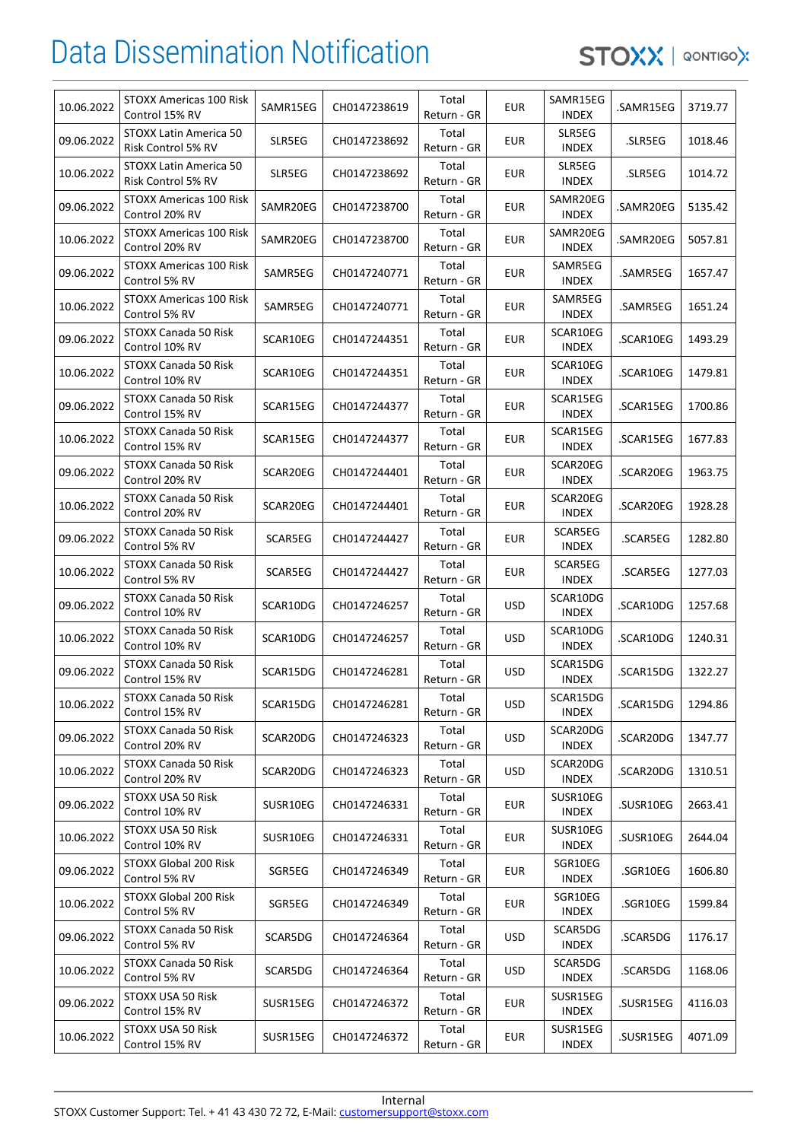| 10.06.2022 | STOXX Americas 100 Risk<br>Control 15% RV    | SAMR15EG | CH0147238619 | Total<br>Return - GR | <b>EUR</b> | SAMR15EG<br>INDEX        | .SAMR15EG | 3719.77 |
|------------|----------------------------------------------|----------|--------------|----------------------|------------|--------------------------|-----------|---------|
| 09.06.2022 | STOXX Latin America 50<br>Risk Control 5% RV | SLR5EG   | CH0147238692 | Total<br>Return - GR | <b>EUR</b> | SLR5EG<br><b>INDEX</b>   | .SLR5EG   | 1018.46 |
| 10.06.2022 | STOXX Latin America 50<br>Risk Control 5% RV | SLR5EG   | CH0147238692 | Total<br>Return - GR | <b>EUR</b> | SLR5EG<br><b>INDEX</b>   | .SLR5EG   | 1014.72 |
| 09.06.2022 | STOXX Americas 100 Risk<br>Control 20% RV    | SAMR20EG | CH0147238700 | Total<br>Return - GR | <b>EUR</b> | SAMR20EG<br>INDEX        | .SAMR20EG | 5135.42 |
| 10.06.2022 | STOXX Americas 100 Risk<br>Control 20% RV    | SAMR20EG | CH0147238700 | Total<br>Return - GR | <b>EUR</b> | SAMR20EG<br>INDEX        | .SAMR20EG | 5057.81 |
| 09.06.2022 | STOXX Americas 100 Risk<br>Control 5% RV     | SAMR5EG  | CH0147240771 | Total<br>Return - GR | <b>EUR</b> | SAMR5EG<br>INDEX         | .SAMR5EG  | 1657.47 |
| 10.06.2022 | STOXX Americas 100 Risk<br>Control 5% RV     | SAMR5EG  | CH0147240771 | Total<br>Return - GR | <b>EUR</b> | SAMR5EG<br><b>INDEX</b>  | .SAMR5EG  | 1651.24 |
| 09.06.2022 | STOXX Canada 50 Risk<br>Control 10% RV       | SCAR10EG | CH0147244351 | Total<br>Return - GR | <b>EUR</b> | SCAR10EG<br><b>INDEX</b> | .SCAR10EG | 1493.29 |
| 10.06.2022 | STOXX Canada 50 Risk<br>Control 10% RV       | SCAR10EG | CH0147244351 | Total<br>Return - GR | EUR        | SCAR10EG<br><b>INDEX</b> | .SCAR10EG | 1479.81 |
| 09.06.2022 | STOXX Canada 50 Risk<br>Control 15% RV       | SCAR15EG | CH0147244377 | Total<br>Return - GR | <b>EUR</b> | SCAR15EG<br>INDEX        | .SCAR15EG | 1700.86 |
| 10.06.2022 | STOXX Canada 50 Risk<br>Control 15% RV       | SCAR15EG | CH0147244377 | Total<br>Return - GR | <b>EUR</b> | SCAR15EG<br><b>INDEX</b> | .SCAR15EG | 1677.83 |
| 09.06.2022 | STOXX Canada 50 Risk<br>Control 20% RV       | SCAR20EG | CH0147244401 | Total<br>Return - GR | <b>EUR</b> | SCAR20EG<br><b>INDEX</b> | .SCAR20EG | 1963.75 |
| 10.06.2022 | STOXX Canada 50 Risk<br>Control 20% RV       | SCAR20EG | CH0147244401 | Total<br>Return - GR | <b>EUR</b> | SCAR20EG<br>INDEX        | .SCAR20EG | 1928.28 |
| 09.06.2022 | STOXX Canada 50 Risk<br>Control 5% RV        | SCAR5EG  | CH0147244427 | Total<br>Return - GR | <b>EUR</b> | SCAR5EG<br><b>INDEX</b>  | .SCAR5EG  | 1282.80 |
| 10.06.2022 | STOXX Canada 50 Risk<br>Control 5% RV        | SCAR5EG  | CH0147244427 | Total<br>Return - GR | <b>EUR</b> | SCAR5EG<br><b>INDEX</b>  | .SCAR5EG  | 1277.03 |
| 09.06.2022 | STOXX Canada 50 Risk<br>Control 10% RV       | SCAR10DG | CH0147246257 | Total<br>Return - GR | <b>USD</b> | SCAR10DG<br>INDEX        | .SCAR10DG | 1257.68 |
| 10.06.2022 | STOXX Canada 50 Risk<br>Control 10% RV       | SCAR10DG | CH0147246257 | Total<br>Return - GR | <b>USD</b> | SCAR10DG<br><b>INDEX</b> | .SCAR10DG | 1240.31 |
| 09.06.2022 | STOXX Canada 50 Risk<br>Control 15% RV       | SCAR15DG | CH0147246281 | Total<br>Return - GR | <b>USD</b> | SCAR15DG<br>INDEX        | .SCAR15DG | 1322.27 |
| 10.06.2022 | STOXX Canada 50 Risk<br>Control 15% RV       | SCAR15DG | CH0147246281 | Total<br>Return - GR | <b>USD</b> | SCAR15DG<br><b>INDEX</b> | .SCAR15DG | 1294.86 |
| 09.06.2022 | STOXX Canada 50 Risk<br>Control 20% RV       | SCAR20DG | CH0147246323 | Total<br>Return - GR | <b>USD</b> | SCAR20DG<br>INDEX        | .SCAR20DG | 1347.77 |
| 10.06.2022 | STOXX Canada 50 Risk<br>Control 20% RV       | SCAR20DG | CH0147246323 | Total<br>Return - GR | <b>USD</b> | SCAR20DG<br>INDEX        | .SCAR20DG | 1310.51 |
| 09.06.2022 | STOXX USA 50 Risk<br>Control 10% RV          | SUSR10EG | CH0147246331 | Total<br>Return - GR | <b>EUR</b> | SUSR10EG<br>INDEX        | .SUSR10EG | 2663.41 |
| 10.06.2022 | STOXX USA 50 Risk<br>Control 10% RV          | SUSR10EG | CH0147246331 | Total<br>Return - GR | <b>EUR</b> | SUSR10EG<br><b>INDEX</b> | .SUSR10EG | 2644.04 |
| 09.06.2022 | STOXX Global 200 Risk<br>Control 5% RV       | SGR5EG   | CH0147246349 | Total<br>Return - GR | <b>EUR</b> | SGR10EG<br>INDEX         | .SGR10EG  | 1606.80 |
| 10.06.2022 | STOXX Global 200 Risk<br>Control 5% RV       | SGR5EG   | CH0147246349 | Total<br>Return - GR | <b>EUR</b> | SGR10EG<br><b>INDEX</b>  | .SGR10EG  | 1599.84 |
| 09.06.2022 | STOXX Canada 50 Risk<br>Control 5% RV        | SCAR5DG  | CH0147246364 | Total<br>Return - GR | <b>USD</b> | SCAR5DG<br><b>INDEX</b>  | .SCAR5DG  | 1176.17 |
| 10.06.2022 | STOXX Canada 50 Risk<br>Control 5% RV        | SCAR5DG  | CH0147246364 | Total<br>Return - GR | <b>USD</b> | SCAR5DG<br>INDEX         | .SCAR5DG  | 1168.06 |
| 09.06.2022 | STOXX USA 50 Risk<br>Control 15% RV          | SUSR15EG | CH0147246372 | Total<br>Return - GR | <b>EUR</b> | SUSR15EG<br><b>INDEX</b> | .SUSR15EG | 4116.03 |
| 10.06.2022 | STOXX USA 50 Risk<br>Control 15% RV          | SUSR15EG | CH0147246372 | Total<br>Return - GR | <b>EUR</b> | SUSR15EG<br><b>INDEX</b> | .SUSR15EG | 4071.09 |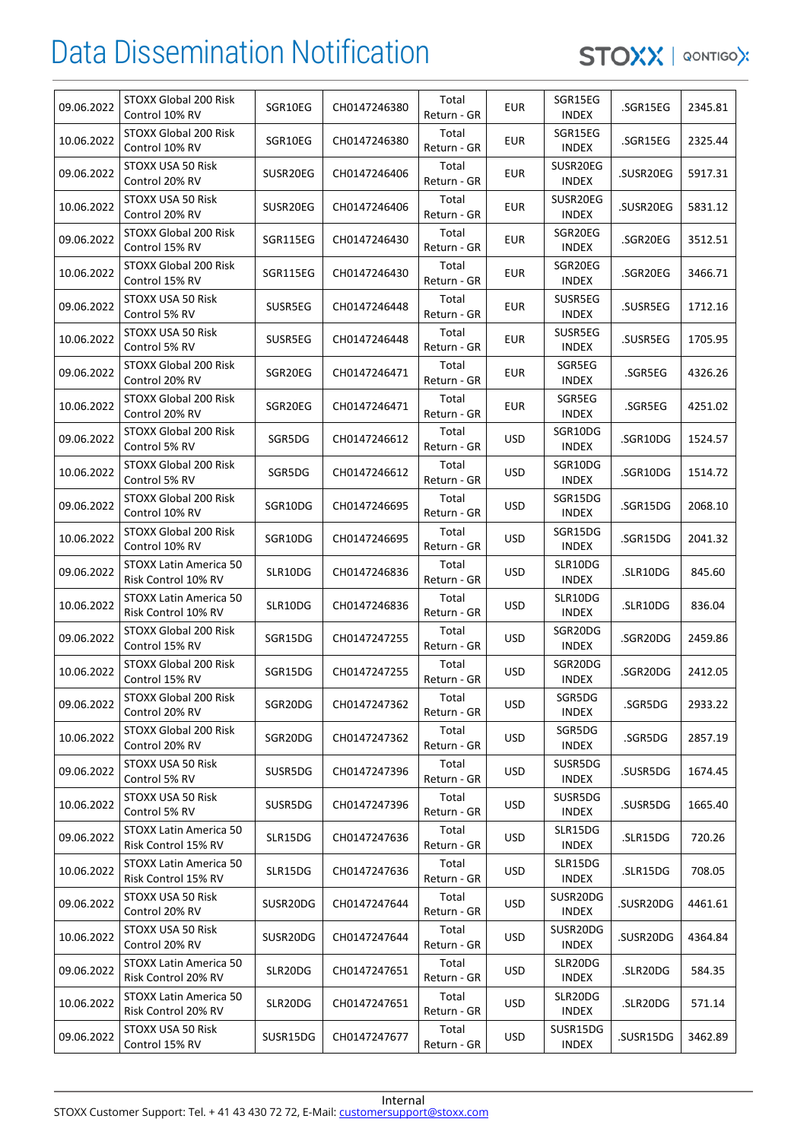| 09.06.2022 | STOXX Global 200 Risk<br>Control 10% RV       | SGR10EG  | CH0147246380 | Total<br>Return - GR | <b>EUR</b> | SGR15EG<br><b>INDEX</b>  | .SGR15EG  | 2345.81 |
|------------|-----------------------------------------------|----------|--------------|----------------------|------------|--------------------------|-----------|---------|
| 10.06.2022 | STOXX Global 200 Risk<br>Control 10% RV       | SGR10EG  | CH0147246380 | Total<br>Return - GR | <b>EUR</b> | SGR15EG<br><b>INDEX</b>  | .SGR15EG  | 2325.44 |
| 09.06.2022 | STOXX USA 50 Risk<br>Control 20% RV           | SUSR20EG | CH0147246406 | Total<br>Return - GR | <b>EUR</b> | SUSR20EG<br><b>INDEX</b> | .SUSR20EG | 5917.31 |
| 10.06.2022 | STOXX USA 50 Risk<br>Control 20% RV           | SUSR20EG | CH0147246406 | Total<br>Return - GR | <b>EUR</b> | SUSR20EG<br><b>INDEX</b> | .SUSR20EG | 5831.12 |
| 09.06.2022 | STOXX Global 200 Risk<br>Control 15% RV       | SGR115EG | CH0147246430 | Total<br>Return - GR | <b>EUR</b> | SGR20EG<br><b>INDEX</b>  | .SGR20EG  | 3512.51 |
| 10.06.2022 | STOXX Global 200 Risk<br>Control 15% RV       | SGR115EG | CH0147246430 | Total<br>Return - GR | <b>EUR</b> | SGR20EG<br><b>INDEX</b>  | .SGR20EG  | 3466.71 |
| 09.06.2022 | STOXX USA 50 Risk<br>Control 5% RV            | SUSR5EG  | CH0147246448 | Total<br>Return - GR | <b>EUR</b> | SUSR5EG<br><b>INDEX</b>  | .SUSR5EG  | 1712.16 |
| 10.06.2022 | STOXX USA 50 Risk<br>Control 5% RV            | SUSR5EG  | CH0147246448 | Total<br>Return - GR | <b>EUR</b> | SUSR5EG<br><b>INDEX</b>  | .SUSR5EG  | 1705.95 |
| 09.06.2022 | STOXX Global 200 Risk<br>Control 20% RV       | SGR20EG  | CH0147246471 | Total<br>Return - GR | <b>EUR</b> | SGR5EG<br><b>INDEX</b>   | .SGR5EG   | 4326.26 |
| 10.06.2022 | STOXX Global 200 Risk<br>Control 20% RV       | SGR20EG  | CH0147246471 | Total<br>Return - GR | <b>EUR</b> | SGR5EG<br><b>INDEX</b>   | .SGR5EG   | 4251.02 |
| 09.06.2022 | STOXX Global 200 Risk<br>Control 5% RV        | SGR5DG   | CH0147246612 | Total<br>Return - GR | <b>USD</b> | SGR10DG<br><b>INDEX</b>  | .SGR10DG  | 1524.57 |
| 10.06.2022 | STOXX Global 200 Risk<br>Control 5% RV        | SGR5DG   | CH0147246612 | Total<br>Return - GR | <b>USD</b> | SGR10DG<br><b>INDEX</b>  | .SGR10DG  | 1514.72 |
| 09.06.2022 | STOXX Global 200 Risk<br>Control 10% RV       | SGR10DG  | CH0147246695 | Total<br>Return - GR | <b>USD</b> | SGR15DG<br><b>INDEX</b>  | .SGR15DG  | 2068.10 |
| 10.06.2022 | STOXX Global 200 Risk<br>Control 10% RV       | SGR10DG  | CH0147246695 | Total<br>Return - GR | <b>USD</b> | SGR15DG<br><b>INDEX</b>  | .SGR15DG  | 2041.32 |
| 09.06.2022 | STOXX Latin America 50<br>Risk Control 10% RV | SLR10DG  | CH0147246836 | Total<br>Return - GR | <b>USD</b> | SLR10DG<br><b>INDEX</b>  | .SLR10DG  | 845.60  |
| 10.06.2022 | STOXX Latin America 50<br>Risk Control 10% RV | SLR10DG  | CH0147246836 | Total<br>Return - GR | <b>USD</b> | SLR10DG<br><b>INDEX</b>  | .SLR10DG  | 836.04  |
| 09.06.2022 | STOXX Global 200 Risk<br>Control 15% RV       | SGR15DG  | CH0147247255 | Total<br>Return - GR | <b>USD</b> | SGR20DG<br><b>INDEX</b>  | .SGR20DG  | 2459.86 |
| 10.06.2022 | STOXX Global 200 Risk<br>Control 15% RV       | SGR15DG  | CH0147247255 | Total<br>Return - GR | <b>USD</b> | SGR20DG<br><b>INDEX</b>  | .SGR20DG  | 2412.05 |
| 09.06.2022 | STOXX Global 200 Risk<br>Control 20% RV       | SGR20DG  | CH0147247362 | Total<br>Return - GR | <b>USD</b> | SGR5DG<br><b>INDEX</b>   | .SGR5DG   | 2933.22 |
| 10.06.2022 | STOXX Global 200 Risk<br>Control 20% RV       | SGR20DG  | CH0147247362 | Total<br>Return - GR | <b>USD</b> | SGR5DG<br><b>INDEX</b>   | .SGR5DG   | 2857.19 |
| 09.06.2022 | STOXX USA 50 Risk<br>Control 5% RV            | SUSR5DG  | CH0147247396 | Total<br>Return - GR | <b>USD</b> | SUSR5DG<br><b>INDEX</b>  | .SUSR5DG  | 1674.45 |
| 10.06.2022 | STOXX USA 50 Risk<br>Control 5% RV            | SUSR5DG  | CH0147247396 | Total<br>Return - GR | <b>USD</b> | SUSR5DG<br>INDEX         | .SUSR5DG  | 1665.40 |
| 09.06.2022 | STOXX Latin America 50<br>Risk Control 15% RV | SLR15DG  | CH0147247636 | Total<br>Return - GR | <b>USD</b> | SLR15DG<br><b>INDEX</b>  | .SLR15DG  | 720.26  |
| 10.06.2022 | STOXX Latin America 50<br>Risk Control 15% RV | SLR15DG  | CH0147247636 | Total<br>Return - GR | <b>USD</b> | SLR15DG<br><b>INDEX</b>  | .SLR15DG  | 708.05  |
| 09.06.2022 | STOXX USA 50 Risk<br>Control 20% RV           | SUSR20DG | CH0147247644 | Total<br>Return - GR | <b>USD</b> | SUSR20DG<br><b>INDEX</b> | .SUSR20DG | 4461.61 |
| 10.06.2022 | STOXX USA 50 Risk<br>Control 20% RV           | SUSR20DG | CH0147247644 | Total<br>Return - GR | <b>USD</b> | SUSR20DG<br><b>INDEX</b> | .SUSR20DG | 4364.84 |
| 09.06.2022 | STOXX Latin America 50<br>Risk Control 20% RV | SLR20DG  | CH0147247651 | Total<br>Return - GR | <b>USD</b> | SLR20DG<br><b>INDEX</b>  | .SLR20DG  | 584.35  |
| 10.06.2022 | STOXX Latin America 50<br>Risk Control 20% RV | SLR20DG  | CH0147247651 | Total<br>Return - GR | <b>USD</b> | SLR20DG<br><b>INDEX</b>  | .SLR20DG  | 571.14  |
| 09.06.2022 | STOXX USA 50 Risk<br>Control 15% RV           | SUSR15DG | CH0147247677 | Total<br>Return - GR | <b>USD</b> | SUSR15DG<br><b>INDEX</b> | .SUSR15DG | 3462.89 |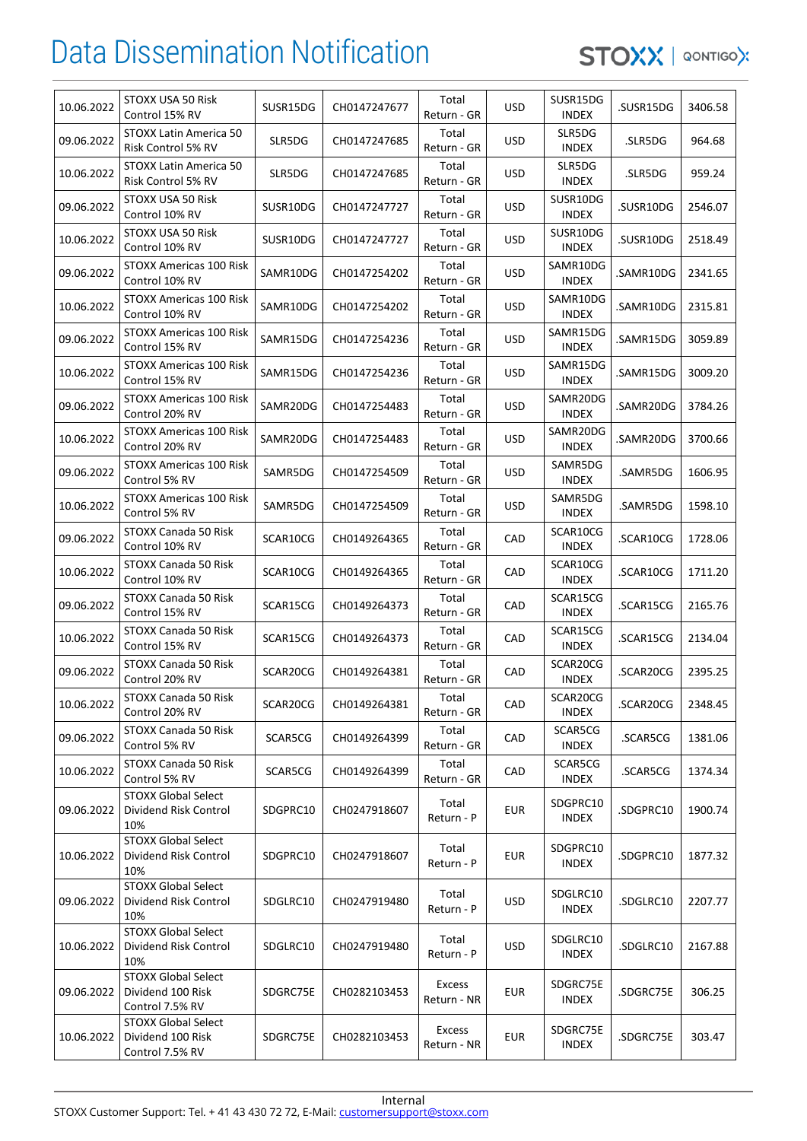| 10.06.2022 | STOXX USA 50 Risk<br>Control 15% RV                                | SUSR15DG | CH0147247677 | Total<br>Return - GR         | <b>USD</b> | SUSR15DG<br><b>INDEX</b> | .SUSR15DG | 3406.58 |
|------------|--------------------------------------------------------------------|----------|--------------|------------------------------|------------|--------------------------|-----------|---------|
| 09.06.2022 | STOXX Latin America 50<br>Risk Control 5% RV                       | SLR5DG   | CH0147247685 | Total<br>Return - GR         | <b>USD</b> | SLR5DG<br><b>INDEX</b>   | .SLR5DG   | 964.68  |
| 10.06.2022 | <b>STOXX Latin America 50</b><br>Risk Control 5% RV                | SLR5DG   | CH0147247685 | Total<br>Return - GR         | <b>USD</b> | SLR5DG<br><b>INDEX</b>   | .SLR5DG   | 959.24  |
| 09.06.2022 | STOXX USA 50 Risk<br>Control 10% RV                                | SUSR10DG | CH0147247727 | Total<br>Return - GR         | <b>USD</b> | SUSR10DG<br><b>INDEX</b> | .SUSR10DG | 2546.07 |
| 10.06.2022 | STOXX USA 50 Risk<br>Control 10% RV                                | SUSR10DG | CH0147247727 | Total<br>Return - GR         | <b>USD</b> | SUSR10DG<br><b>INDEX</b> | .SUSR10DG | 2518.49 |
| 09.06.2022 | STOXX Americas 100 Risk<br>Control 10% RV                          | SAMR10DG | CH0147254202 | Total<br>Return - GR         | <b>USD</b> | SAMR10DG<br><b>INDEX</b> | .SAMR10DG | 2341.65 |
| 10.06.2022 | STOXX Americas 100 Risk<br>Control 10% RV                          | SAMR10DG | CH0147254202 | Total<br>Return - GR         | <b>USD</b> | SAMR10DG<br><b>INDEX</b> | .SAMR10DG | 2315.81 |
| 09.06.2022 | STOXX Americas 100 Risk<br>Control 15% RV                          | SAMR15DG | CH0147254236 | Total<br>Return - GR         | <b>USD</b> | SAMR15DG<br><b>INDEX</b> | .SAMR15DG | 3059.89 |
| 10.06.2022 | STOXX Americas 100 Risk<br>Control 15% RV                          | SAMR15DG | CH0147254236 | Total<br>Return - GR         | <b>USD</b> | SAMR15DG<br><b>INDEX</b> | .SAMR15DG | 3009.20 |
| 09.06.2022 | STOXX Americas 100 Risk<br>Control 20% RV                          | SAMR20DG | CH0147254483 | Total<br>Return - GR         | <b>USD</b> | SAMR20DG<br><b>INDEX</b> | .SAMR20DG | 3784.26 |
| 10.06.2022 | STOXX Americas 100 Risk<br>Control 20% RV                          | SAMR20DG | CH0147254483 | Total<br>Return - GR         | <b>USD</b> | SAMR20DG<br><b>INDEX</b> | .SAMR20DG | 3700.66 |
| 09.06.2022 | STOXX Americas 100 Risk<br>Control 5% RV                           | SAMR5DG  | CH0147254509 | Total<br>Return - GR         | <b>USD</b> | SAMR5DG<br>INDEX         | .SAMR5DG  | 1606.95 |
| 10.06.2022 | STOXX Americas 100 Risk<br>Control 5% RV                           | SAMR5DG  | CH0147254509 | Total<br>Return - GR         | <b>USD</b> | SAMR5DG<br><b>INDEX</b>  | .SAMR5DG  | 1598.10 |
| 09.06.2022 | STOXX Canada 50 Risk<br>Control 10% RV                             | SCAR10CG | CH0149264365 | Total<br>Return - GR         | CAD        | SCAR10CG<br><b>INDEX</b> | .SCAR10CG | 1728.06 |
| 10.06.2022 | STOXX Canada 50 Risk<br>Control 10% RV                             | SCAR10CG | CH0149264365 | Total<br>Return - GR         | CAD        | SCAR10CG<br><b>INDEX</b> | .SCAR10CG | 1711.20 |
| 09.06.2022 | STOXX Canada 50 Risk<br>Control 15% RV                             | SCAR15CG | CH0149264373 | Total<br>Return - GR         | CAD        | SCAR15CG<br><b>INDEX</b> | .SCAR15CG | 2165.76 |
| 10.06.2022 | STOXX Canada 50 Risk<br>Control 15% RV                             | SCAR15CG | CH0149264373 | Total<br>Return - GR         | CAD        | SCAR15CG<br><b>INDEX</b> | .SCAR15CG | 2134.04 |
| 09.06.2022 | STOXX Canada 50 Risk<br>Control 20% RV                             | SCAR20CG | CH0149264381 | Total<br>Return - GR         | CAD        | SCAR20CG<br><b>INDEX</b> | .SCAR20CG | 2395.25 |
| 10.06.2022 | STOXX Canada 50 Risk<br>Control 20% RV                             | SCAR20CG | CH0149264381 | Total<br>Return - GR         | CAD        | SCAR20CG<br><b>INDEX</b> | .SCAR20CG | 2348.45 |
| 09.06.2022 | STOXX Canada 50 Risk<br>Control 5% RV                              | SCAR5CG  | CH0149264399 | Total<br>Return - GR         | CAD        | SCAR5CG<br><b>INDEX</b>  | .SCAR5CG  | 1381.06 |
| 10.06.2022 | STOXX Canada 50 Risk<br>Control 5% RV                              | SCAR5CG  | CH0149264399 | Total<br>Return - GR         | CAD        | SCAR5CG<br><b>INDEX</b>  | .SCAR5CG  | 1374.34 |
| 09.06.2022 | <b>STOXX Global Select</b><br>Dividend Risk Control<br>10%         | SDGPRC10 | CH0247918607 | Total<br>Return - P          | <b>EUR</b> | SDGPRC10<br><b>INDEX</b> | .SDGPRC10 | 1900.74 |
| 10.06.2022 | <b>STOXX Global Select</b><br>Dividend Risk Control<br>10%         | SDGPRC10 | CH0247918607 | Total<br>Return - P          | <b>EUR</b> | SDGPRC10<br><b>INDEX</b> | .SDGPRC10 | 1877.32 |
| 09.06.2022 | <b>STOXX Global Select</b><br>Dividend Risk Control<br>10%         | SDGLRC10 | CH0247919480 | Total<br>Return - P          | <b>USD</b> | SDGLRC10<br><b>INDEX</b> | .SDGLRC10 | 2207.77 |
| 10.06.2022 | <b>STOXX Global Select</b><br>Dividend Risk Control<br>10%         | SDGLRC10 | CH0247919480 | Total<br>Return - P          | <b>USD</b> | SDGLRC10<br><b>INDEX</b> | .SDGLRC10 | 2167.88 |
| 09.06.2022 | <b>STOXX Global Select</b><br>Dividend 100 Risk<br>Control 7.5% RV | SDGRC75E | CH0282103453 | <b>Excess</b><br>Return - NR | <b>EUR</b> | SDGRC75E<br><b>INDEX</b> | .SDGRC75E | 306.25  |
| 10.06.2022 | <b>STOXX Global Select</b><br>Dividend 100 Risk<br>Control 7.5% RV | SDGRC75E | CH0282103453 | <b>Excess</b><br>Return - NR | <b>EUR</b> | SDGRC75E<br><b>INDEX</b> | .SDGRC75E | 303.47  |